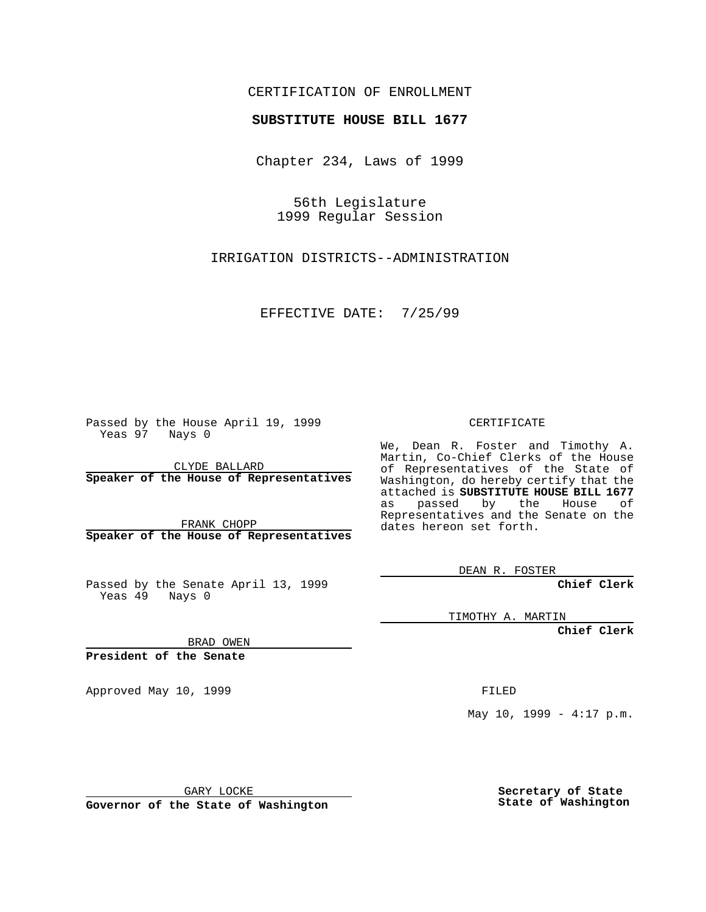### CERTIFICATION OF ENROLLMENT

# **SUBSTITUTE HOUSE BILL 1677**

Chapter 234, Laws of 1999

56th Legislature 1999 Regular Session

IRRIGATION DISTRICTS--ADMINISTRATION

EFFECTIVE DATE: 7/25/99

Passed by the House April 19, 1999 Yeas 97 Nays 0

CLYDE BALLARD **Speaker of the House of Representatives**

FRANK CHOPP **Speaker of the House of Representatives**

Passed by the Senate April 13, 1999 Yeas 49 Nays 0

CERTIFICATE

We, Dean R. Foster and Timothy A. Martin, Co-Chief Clerks of the House of Representatives of the State of Washington, do hereby certify that the attached is **SUBSTITUTE HOUSE BILL 1677** as passed by the House of Representatives and the Senate on the dates hereon set forth.

DEAN R. FOSTER

**Chief Clerk**

TIMOTHY A. MARTIN

**Chief Clerk**

BRAD OWEN

**President of the Senate**

Approved May 10, 1999 **FILED** 

May 10, 1999 -  $4:17$  p.m.

GARY LOCKE

**Governor of the State of Washington**

**Secretary of State State of Washington**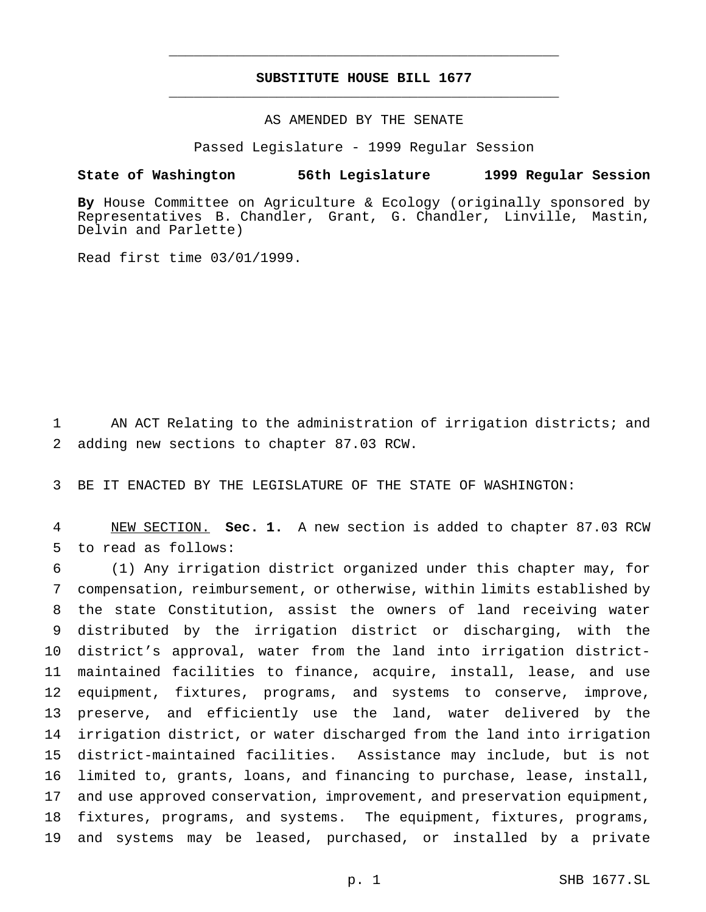## **SUBSTITUTE HOUSE BILL 1677** \_\_\_\_\_\_\_\_\_\_\_\_\_\_\_\_\_\_\_\_\_\_\_\_\_\_\_\_\_\_\_\_\_\_\_\_\_\_\_\_\_\_\_\_\_\_\_

\_\_\_\_\_\_\_\_\_\_\_\_\_\_\_\_\_\_\_\_\_\_\_\_\_\_\_\_\_\_\_\_\_\_\_\_\_\_\_\_\_\_\_\_\_\_\_

#### AS AMENDED BY THE SENATE

Passed Legislature - 1999 Regular Session

#### **State of Washington 56th Legislature 1999 Regular Session**

**By** House Committee on Agriculture & Ecology (originally sponsored by Representatives B. Chandler, Grant, G. Chandler, Linville, Mastin, Delvin and Parlette)

Read first time 03/01/1999.

 AN ACT Relating to the administration of irrigation districts; and adding new sections to chapter 87.03 RCW.

BE IT ENACTED BY THE LEGISLATURE OF THE STATE OF WASHINGTON:

 NEW SECTION. **Sec. 1.** A new section is added to chapter 87.03 RCW to read as follows:

 (1) Any irrigation district organized under this chapter may, for compensation, reimbursement, or otherwise, within limits established by the state Constitution, assist the owners of land receiving water distributed by the irrigation district or discharging, with the district's approval, water from the land into irrigation district- maintained facilities to finance, acquire, install, lease, and use equipment, fixtures, programs, and systems to conserve, improve, preserve, and efficiently use the land, water delivered by the irrigation district, or water discharged from the land into irrigation district-maintained facilities. Assistance may include, but is not limited to, grants, loans, and financing to purchase, lease, install, and use approved conservation, improvement, and preservation equipment, fixtures, programs, and systems. The equipment, fixtures, programs, and systems may be leased, purchased, or installed by a private